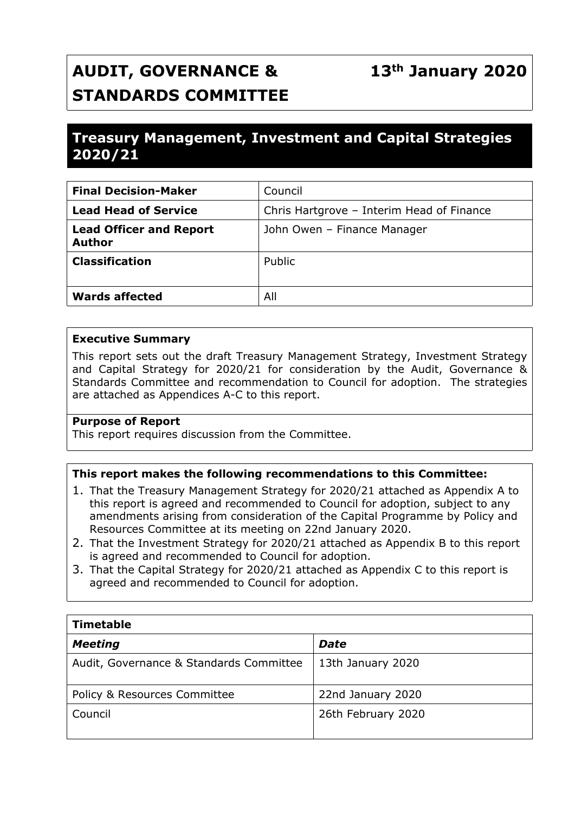# **AUDIT, GOVERNANCE & STANDARDS COMMITTEE**

# **Treasury Management, Investment and Capital Strategies 2020/21**

| <b>Final Decision-Maker</b>                     | Council                                   |  |
|-------------------------------------------------|-------------------------------------------|--|
| <b>Lead Head of Service</b>                     | Chris Hartgrove - Interim Head of Finance |  |
| <b>Lead Officer and Report</b><br><b>Author</b> | John Owen - Finance Manager               |  |
| <b>Classification</b>                           | Public                                    |  |
| <b>Wards affected</b>                           | All                                       |  |

#### **Executive Summary**

This report sets out the draft Treasury Management Strategy, Investment Strategy and Capital Strategy for 2020/21 for consideration by the Audit, Governance & Standards Committee and recommendation to Council for adoption. The strategies are attached as Appendices A-C to this report.

#### **Purpose of Report**

This report requires discussion from the Committee.

#### **This report makes the following recommendations to this Committee:**

- 1. That the Treasury Management Strategy for 2020/21 attached as Appendix A to this report is agreed and recommended to Council for adoption, subject to any amendments arising from consideration of the Capital Programme by Policy and Resources Committee at its meeting on 22nd January 2020.
- 2. That the Investment Strategy for 2020/21 attached as Appendix B to this report is agreed and recommended to Council for adoption.
- 3. That the Capital Strategy for 2020/21 attached as Appendix C to this report is agreed and recommended to Council for adoption.

| <b>Timetable</b>                        |                    |  |  |  |
|-----------------------------------------|--------------------|--|--|--|
| <b>Meeting</b>                          | <b>Date</b>        |  |  |  |
| Audit, Governance & Standards Committee | 13th January 2020  |  |  |  |
| <b>Policy &amp; Resources Committee</b> | 22nd January 2020  |  |  |  |
| Council                                 | 26th February 2020 |  |  |  |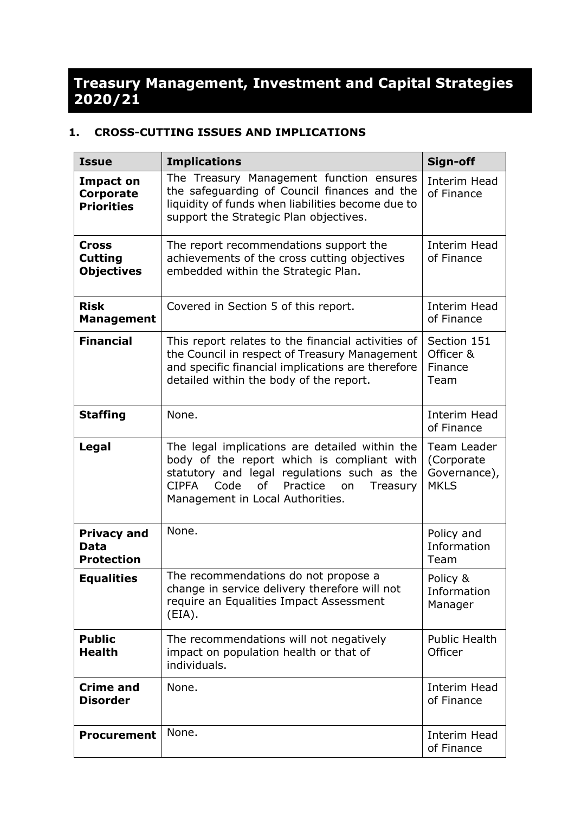# **Treasury Management, Investment and Capital Strategies 2020/21**

## **1. CROSS-CUTTING ISSUES AND IMPLICATIONS**

| <b>Issue</b>                                              | <b>Implications</b>                                                                                                                                                                                                                         | Sign-off                                                 |
|-----------------------------------------------------------|---------------------------------------------------------------------------------------------------------------------------------------------------------------------------------------------------------------------------------------------|----------------------------------------------------------|
| <b>Impact on</b><br><b>Corporate</b><br><b>Priorities</b> | The Treasury Management function ensures<br>the safeguarding of Council finances and the<br>liquidity of funds when liabilities become due to<br>support the Strategic Plan objectives.                                                     | <b>Interim Head</b><br>of Finance                        |
| <b>Cross</b><br><b>Cutting</b><br><b>Objectives</b>       | The report recommendations support the<br>achievements of the cross cutting objectives<br>embedded within the Strategic Plan.                                                                                                               | <b>Interim Head</b><br>of Finance                        |
| <b>Risk</b><br><b>Management</b>                          | Covered in Section 5 of this report.                                                                                                                                                                                                        | Interim Head<br>of Finance                               |
| <b>Financial</b>                                          | This report relates to the financial activities of<br>the Council in respect of Treasury Management<br>and specific financial implications are therefore<br>detailed within the body of the report.                                         | Section 151<br>Officer &<br>Finance<br>Team              |
| <b>Staffing</b>                                           | None.                                                                                                                                                                                                                                       | Interim Head<br>of Finance                               |
| Legal                                                     | The legal implications are detailed within the<br>body of the report which is compliant with<br>statutory and legal regulations such as the<br><b>CIPFA</b><br>Code<br>of<br>Practice<br>Treasury<br>on<br>Management in Local Authorities. | Team Leader<br>(Corporate<br>Governance),<br><b>MKLS</b> |
| <b>Privacy and</b><br>Data<br><b>Protection</b>           | None.                                                                                                                                                                                                                                       | Policy and<br>Information<br>Team                        |
| <b>Equalities</b>                                         | The recommendations do not propose a<br>change in service delivery therefore will not<br>require an Equalities Impact Assessment<br>(EIA).                                                                                                  | Policy &<br>Information<br>Manager                       |
| <b>Public</b><br><b>Health</b>                            | The recommendations will not negatively<br>impact on population health or that of<br>individuals.                                                                                                                                           | <b>Public Health</b><br>Officer                          |
| <b>Crime and</b><br><b>Disorder</b>                       | None.                                                                                                                                                                                                                                       | Interim Head<br>of Finance                               |
| <b>Procurement</b>                                        | None.                                                                                                                                                                                                                                       | Interim Head<br>of Finance                               |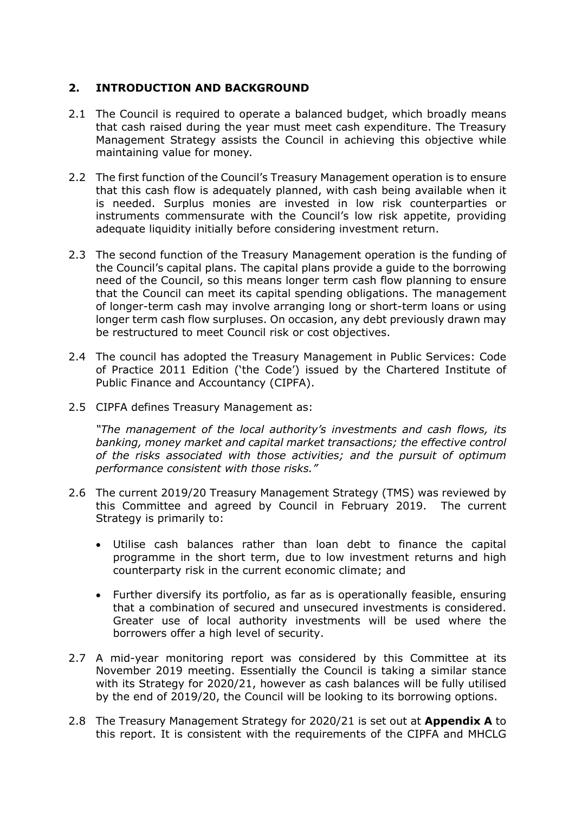#### **2. INTRODUCTION AND BACKGROUND**

- 2.1 The Council is required to operate a balanced budget, which broadly means that cash raised during the year must meet cash expenditure. The Treasury Management Strategy assists the Council in achieving this objective while maintaining value for money*.*
- 2.2 The first function of the Council's Treasury Management operation is to ensure that this cash flow is adequately planned, with cash being available when it is needed. Surplus monies are invested in low risk counterparties or instruments commensurate with the Council's low risk appetite, providing adequate liquidity initially before considering investment return.
- 2.3 The second function of the Treasury Management operation is the funding of the Council's capital plans. The capital plans provide a guide to the borrowing need of the Council, so this means longer term cash flow planning to ensure that the Council can meet its capital spending obligations. The management of longer-term cash may involve arranging long or short-term loans or using longer term cash flow surpluses. On occasion, any debt previously drawn may be restructured to meet Council risk or cost objectives.
- 2.4 The council has adopted the Treasury Management in Public Services: Code of Practice 2011 Edition ('the Code') issued by the Chartered Institute of Public Finance and Accountancy (CIPFA).
- 2.5 CIPFA defines Treasury Management as:

*"The management of the local authority's investments and cash flows, its banking, money market and capital market transactions; the effective control of the risks associated with those activities; and the pursuit of optimum performance consistent with those risks."*

- 2.6 The current 2019/20 Treasury Management Strategy (TMS) was reviewed by this Committee and agreed by Council in February 2019. The current Strategy is primarily to:
	- Utilise cash balances rather than loan debt to finance the capital programme in the short term, due to low investment returns and high counterparty risk in the current economic climate; and
	- Further diversify its portfolio, as far as is operationally feasible, ensuring that a combination of secured and unsecured investments is considered. Greater use of local authority investments will be used where the borrowers offer a high level of security.
- 2.7 A mid-year monitoring report was considered by this Committee at its November 2019 meeting. Essentially the Council is taking a similar stance with its Strategy for 2020/21, however as cash balances will be fully utilised by the end of 2019/20, the Council will be looking to its borrowing options.
- 2.8 The Treasury Management Strategy for 2020/21 is set out at **Appendix A** to this report. It is consistent with the requirements of the CIPFA and MHCLG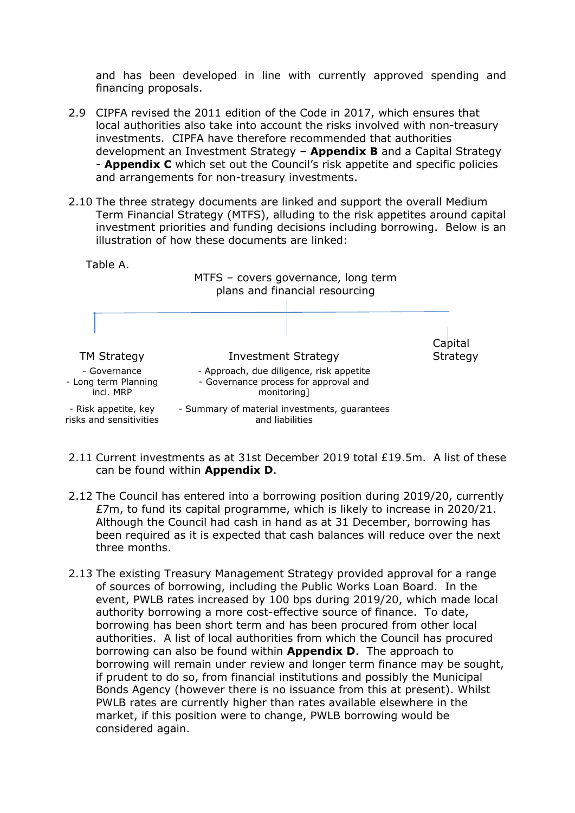and has been developed in line with currently approved spending and financing proposals.

- 2.9 CIPFA revised the 2011 edition of the Code in 2017, which ensures that local authorities also take into account the risks involved with non-treasury investments. CIPFA have therefore recommended that authorities development an Investment Strategy – **Appendix B** and a Capital Strategy - **Appendix C** which set out the Council's risk appetite and specific policies and arrangements for non-treasury investments.
- 2.10 The three strategy documents are linked and support the overall Medium Term Financial Strategy (MTFS), alluding to the risk appetites around capital investment priorities and funding decisions including borrowing. Below is an illustration of how these documents are linked:

Table A.

#### MTFS – covers governance, long term plans and financial resourcing



- 2.11 Current investments as at 31st December 2019 total £19.5m. A list of these can be found within **Appendix D**.
- 2.12 The Council has entered into a borrowing position during 2019/20, currently £7m, to fund its capital programme, which is likely to increase in 2020/21. Although the Council had cash in hand as at 31 December, borrowing has been required as it is expected that cash balances will reduce over the next three months.
- 2.13 The existing Treasury Management Strategy provided approval for a range of sources of borrowing, including the Public Works Loan Board. In the event, PWLB rates increased by 100 bps during 2019/20, which made local authority borrowing a more cost-effective source of finance. To date, borrowing has been short term and has been procured from other local authorities. A list of local authorities from which the Council has procured borrowing can also be found within **Appendix D**. The approach to borrowing will remain under review and longer term finance may be sought, if prudent to do so, from financial institutions and possibly the Municipal Bonds Agency (however there is no issuance from this at present). Whilst PWLB rates are currently higher than rates available elsewhere in the market, if this position were to change, PWLB borrowing would be considered again.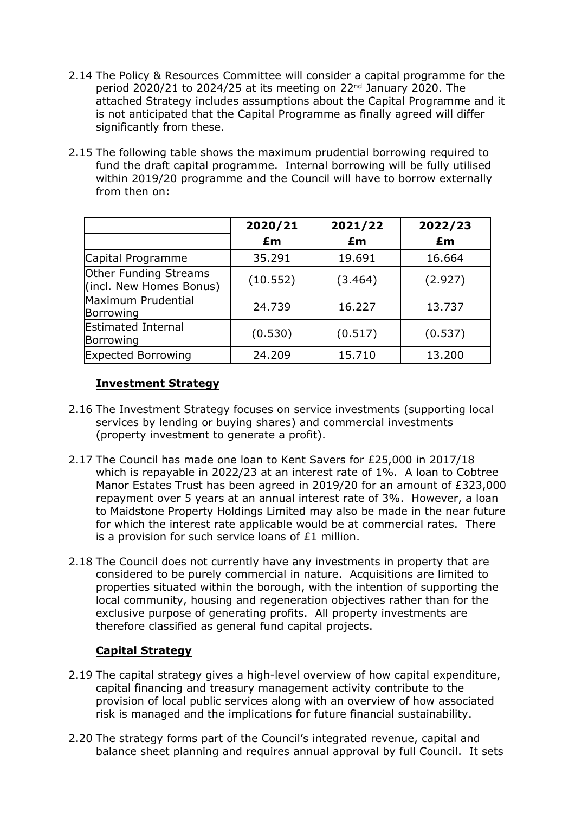- 2.14 The Policy & Resources Committee will consider a capital programme for the period 2020/21 to 2024/25 at its meeting on 22nd January 2020. The attached Strategy includes assumptions about the Capital Programme and it is not anticipated that the Capital Programme as finally agreed will differ significantly from these.
- 2.15 The following table shows the maximum prudential borrowing required to fund the draft capital programme. Internal borrowing will be fully utilised within 2019/20 programme and the Council will have to borrow externally from then on:

|                                                  | 2020/21  | 2021/22 | 2022/23 |
|--------------------------------------------------|----------|---------|---------|
|                                                  | £m       | £m      | £m      |
| Capital Programme                                | 35.291   | 19.691  | 16.664  |
| Other Funding Streams<br>(incl. New Homes Bonus) | (10.552) | (3.464) | (2.927) |
| Maximum Prudential<br>Borrowing                  | 24.739   | 16.227  | 13.737  |
| <b>Estimated Internal</b><br>Borrowing           | (0.530)  | (0.517) | (0.537) |
| <b>Expected Borrowing</b>                        | 24.209   | 15.710  | 13.200  |

#### **Investment Strategy**

- 2.16 The Investment Strategy focuses on service investments (supporting local services by lending or buying shares) and commercial investments (property investment to generate a profit).
- 2.17 The Council has made one loan to Kent Savers for £25,000 in 2017/18 which is repayable in 2022/23 at an interest rate of 1%. A loan to Cobtree Manor Estates Trust has been agreed in 2019/20 for an amount of £323,000 repayment over 5 years at an annual interest rate of 3%. However, a loan to Maidstone Property Holdings Limited may also be made in the near future for which the interest rate applicable would be at commercial rates. There is a provision for such service loans of £1 million.
- 2.18 The Council does not currently have any investments in property that are considered to be purely commercial in nature. Acquisitions are limited to properties situated within the borough, with the intention of supporting the local community, housing and regeneration objectives rather than for the exclusive purpose of generating profits. All property investments are therefore classified as general fund capital projects.

#### **Capital Strategy**

- 2.19 The capital strategy gives a high-level overview of how capital expenditure, capital financing and treasury management activity contribute to the provision of local public services along with an overview of how associated risk is managed and the implications for future financial sustainability.
- 2.20 The strategy forms part of the Council's integrated revenue, capital and balance sheet planning and requires annual approval by full Council. It sets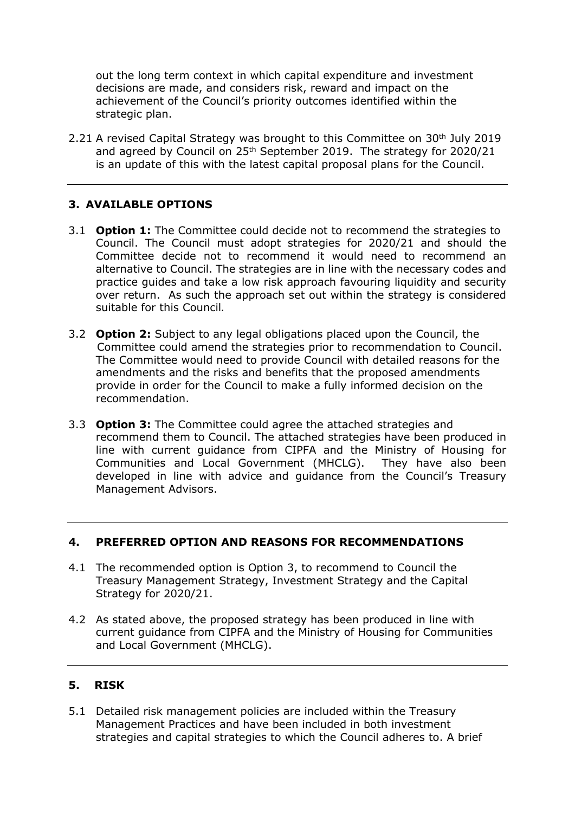out the long term context in which capital expenditure and investment decisions are made, and considers risk, reward and impact on the achievement of the Council's priority outcomes identified within the strategic plan.

2.21 A revised Capital Strategy was brought to this Committee on 30<sup>th</sup> July 2019 and agreed by Council on 25<sup>th</sup> September 2019. The strategy for 2020/21 is an update of this with the latest capital proposal plans for the Council.

## **3. AVAILABLE OPTIONS**

- 3.1 **Option 1:** The Committee could decide not to recommend the strategies to Council. The Council must adopt strategies for 2020/21 and should the Committee decide not to recommend it would need to recommend an alternative to Council. The strategies are in line with the necessary codes and practice guides and take a low risk approach favouring liquidity and security over return. As such the approach set out within the strategy is considered suitable for this Council*.*
- 3.2 **Option 2:** Subject to any legal obligations placed upon the Council, the Committee could amend the strategies prior to recommendation to Council. The Committee would need to provide Council with detailed reasons for the amendments and the risks and benefits that the proposed amendments provide in order for the Council to make a fully informed decision on the recommendation.
- 3.3 **Option 3:** The Committee could agree the attached strategies and recommend them to Council. The attached strategies have been produced in line with current guidance from CIPFA and the Ministry of Housing for Communities and Local Government (MHCLG). They have also been developed in line with advice and guidance from the Council's Treasury Management Advisors.

#### **4. PREFERRED OPTION AND REASONS FOR RECOMMENDATIONS**

- 4.1 The recommended option is Option 3, to recommend to Council the Treasury Management Strategy, Investment Strategy and the Capital Strategy for 2020/21.
- 4.2 As stated above, the proposed strategy has been produced in line with current guidance from CIPFA and the Ministry of Housing for Communities and Local Government (MHCLG).

#### **5. RISK**

5.1 Detailed risk management policies are included within the Treasury Management Practices and have been included in both investment strategies and capital strategies to which the Council adheres to. A brief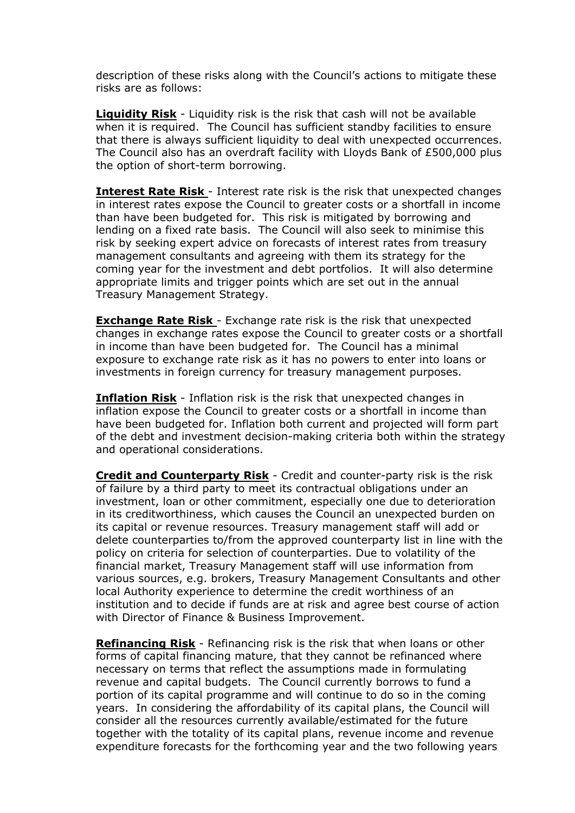description of these risks along with the Council's actions to mitigate these risks are as follows:

**Liquidity Risk** - Liquidity risk is the risk that cash will not be available when it is required. The Council has sufficient standby facilities to ensure that there is always sufficient liquidity to deal with unexpected occurrences. The Council also has an overdraft facility with Lloyds Bank of £500,000 plus the option of short-term borrowing.

**Interest Rate Risk** - Interest rate risk is the risk that unexpected changes in interest rates expose the Council to greater costs or a shortfall in income than have been budgeted for. This risk is mitigated by borrowing and lending on a fixed rate basis. The Council will also seek to minimise this risk by seeking expert advice on forecasts of interest rates from treasury management consultants and agreeing with them its strategy for the coming year for the investment and debt portfolios. It will also determine appropriate limits and trigger points which are set out in the annual Treasury Management Strategy.

**Exchange Rate Risk** - Exchange rate risk is the risk that unexpected changes in exchange rates expose the Council to greater costs or a shortfall in income than have been budgeted for. The Council has a minimal exposure to exchange rate risk as it has no powers to enter into loans or investments in foreign currency for treasury management purposes.

**Inflation Risk** - Inflation risk is the risk that unexpected changes in inflation expose the Council to greater costs or a shortfall in income than have been budgeted for. Inflation both current and projected will form part of the debt and investment decision-making criteria both within the strategy and operational considerations.

**Credit and Counterparty Risk** - Credit and counter-party risk is the risk of failure by a third party to meet its contractual obligations under an investment, loan or other commitment, especially one due to deterioration in its creditworthiness, which causes the Council an unexpected burden on its capital or revenue resources. Treasury management staff will add or delete counterparties to/from the approved counterparty list in line with the policy on criteria for selection of counterparties. Due to volatility of the financial market, Treasury Management staff will use information from various sources, e.g. brokers, Treasury Management Consultants and other local Authority experience to determine the credit worthiness of an institution and to decide if funds are at risk and agree best course of action with Director of Finance & Business Improvement.

**Refinancing Risk** - Refinancing risk is the risk that when loans or other forms of capital financing mature, that they cannot be refinanced where necessary on terms that reflect the assumptions made in formulating revenue and capital budgets. The Council currently borrows to fund a portion of its capital programme and will continue to do so in the coming years. In considering the affordability of its capital plans, the Council will consider all the resources currently available/estimated for the future together with the totality of its capital plans, revenue income and revenue expenditure forecasts for the forthcoming year and the two following years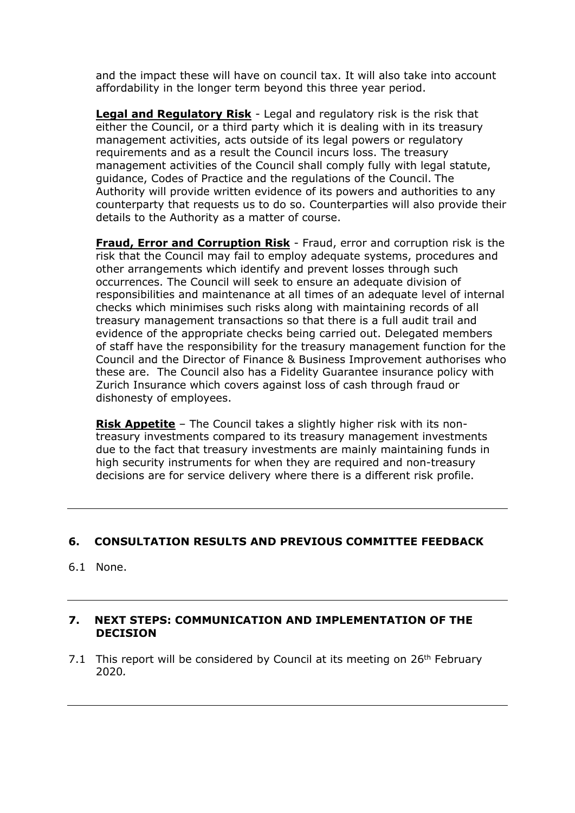and the impact these will have on council tax. It will also take into account affordability in the longer term beyond this three year period.

**Legal and Regulatory Risk** - Legal and regulatory risk is the risk that either the Council, or a third party which it is dealing with in its treasury management activities, acts outside of its legal powers or regulatory requirements and as a result the Council incurs loss. The treasury management activities of the Council shall comply fully with legal statute, guidance, Codes of Practice and the regulations of the Council. The Authority will provide written evidence of its powers and authorities to any counterparty that requests us to do so. Counterparties will also provide their details to the Authority as a matter of course.

**Fraud, Error and Corruption Risk** - Fraud, error and corruption risk is the risk that the Council may fail to employ adequate systems, procedures and other arrangements which identify and prevent losses through such occurrences. The Council will seek to ensure an adequate division of responsibilities and maintenance at all times of an adequate level of internal checks which minimises such risks along with maintaining records of all treasury management transactions so that there is a full audit trail and evidence of the appropriate checks being carried out. Delegated members of staff have the responsibility for the treasury management function for the Council and the Director of Finance & Business Improvement authorises who these are. The Council also has a Fidelity Guarantee insurance policy with Zurich Insurance which covers against loss of cash through fraud or dishonesty of employees.

**Risk Appetite** – The Council takes a slightly higher risk with its nontreasury investments compared to its treasury management investments due to the fact that treasury investments are mainly maintaining funds in high security instruments for when they are required and non-treasury decisions are for service delivery where there is a different risk profile.

#### **6. CONSULTATION RESULTS AND PREVIOUS COMMITTEE FEEDBACK**

6.1 None.

#### **7. NEXT STEPS: COMMUNICATION AND IMPLEMENTATION OF THE DECISION**

7.1 This report will be considered by Council at its meeting on 26<sup>th</sup> February 2020*.*